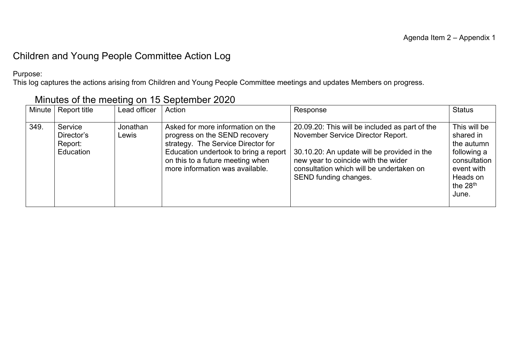### Children and Young People Committee Action Log

Purpose:

This log captures the actions arising from Children and Young People Committee meetings and updates Members on progress.

| Minute | Report title                                         | Lead officer      | Action                                                                                                                                                                                                                   | Response                                                                                                                                                                                                                                       | <b>Status</b>                                                                                                           |
|--------|------------------------------------------------------|-------------------|--------------------------------------------------------------------------------------------------------------------------------------------------------------------------------------------------------------------------|------------------------------------------------------------------------------------------------------------------------------------------------------------------------------------------------------------------------------------------------|-------------------------------------------------------------------------------------------------------------------------|
| 349.   | Service<br>Director's<br>Report:<br><b>Education</b> | Jonathan<br>Lewis | Asked for more information on the<br>progress on the SEND recovery<br>strategy. The Service Director for<br>Education undertook to bring a report<br>on this to a future meeting when<br>more information was available. | 20.09.20: This will be included as part of the<br>November Service Director Report.<br>30.10.20: An update will be provided in the<br>new year to coincide with the wider<br>consultation which will be undertaken on<br>SEND funding changes. | This will be<br>shared in<br>the autumn<br>following a<br>consultation<br>event with<br>Heads on<br>the $28th$<br>June. |

### Minutes of the meeting on 15 September 2020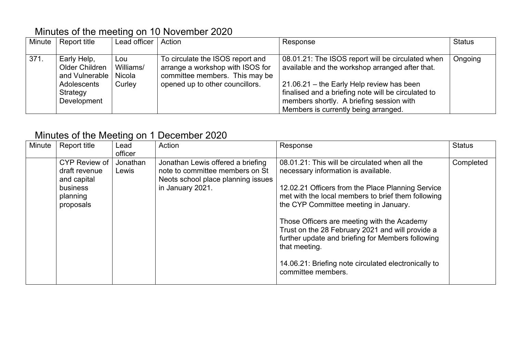### Minutes of the meeting on 10 November 2020

| Minute | Report title                                                                                       | Lead officer   Action      |                                                                                                                                           | Response                                                                                                                                                                                                                                                                                     | <b>Status</b> |
|--------|----------------------------------------------------------------------------------------------------|----------------------------|-------------------------------------------------------------------------------------------------------------------------------------------|----------------------------------------------------------------------------------------------------------------------------------------------------------------------------------------------------------------------------------------------------------------------------------------------|---------------|
| 371.   | Early Help,<br>Older Children<br>and Vulnerable   Nicola<br>Adolescents<br>Strategy<br>Development | Lou<br>Williams/<br>Curley | To circulate the ISOS report and<br>arrange a workshop with ISOS for<br>committee members. This may be<br>opened up to other councillors. | 08.01.21: The ISOS report will be circulated when<br>available and the workshop arranged after that.<br>21.06.21 - the Early Help review has been<br>finalised and a briefing note will be circulated to<br>members shortly. A briefing session with<br>Members is currently being arranged. | Ongoing       |

## Minutes of the Meeting on 1 December 2020

| Minute | Report title  | Lead     | Action                             | Response                                             | <b>Status</b> |
|--------|---------------|----------|------------------------------------|------------------------------------------------------|---------------|
|        |               | officer  |                                    |                                                      |               |
|        | CYP Review of | Jonathan | Jonathan Lewis offered a briefing  | 08.01.21: This will be circulated when all the       | Completed     |
|        | draft revenue | Lewis    | note to committee members on St    | necessary information is available.                  |               |
|        | and capital   |          | Neots school place planning issues |                                                      |               |
|        | business      |          | in January 2021.                   | 12.02.21 Officers from the Place Planning Service    |               |
|        | planning      |          |                                    | met with the local members to brief them following   |               |
|        | proposals     |          |                                    | the CYP Committee meeting in January.                |               |
|        |               |          |                                    |                                                      |               |
|        |               |          |                                    | Those Officers are meeting with the Academy          |               |
|        |               |          |                                    | Trust on the 28 February 2021 and will provide a     |               |
|        |               |          |                                    | further update and briefing for Members following    |               |
|        |               |          |                                    | that meeting.                                        |               |
|        |               |          |                                    |                                                      |               |
|        |               |          |                                    | 14.06.21: Briefing note circulated electronically to |               |
|        |               |          |                                    | committee members.                                   |               |
|        |               |          |                                    |                                                      |               |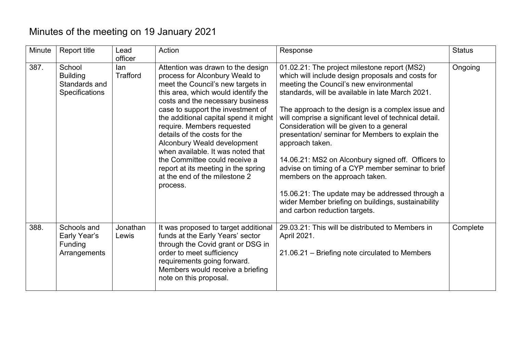# Minutes of the meeting on 19 January 2021

| Minute | <b>Report title</b>                                          | Lead<br>officer   | Action                                                                                                                                                                                                                                                                                                                                                                                                                                                                                                                   | Response                                                                                                                                                                                                                                                                                                                                                                                                                                                                                                                                                                                                                                                                                                                  | <b>Status</b> |
|--------|--------------------------------------------------------------|-------------------|--------------------------------------------------------------------------------------------------------------------------------------------------------------------------------------------------------------------------------------------------------------------------------------------------------------------------------------------------------------------------------------------------------------------------------------------------------------------------------------------------------------------------|---------------------------------------------------------------------------------------------------------------------------------------------------------------------------------------------------------------------------------------------------------------------------------------------------------------------------------------------------------------------------------------------------------------------------------------------------------------------------------------------------------------------------------------------------------------------------------------------------------------------------------------------------------------------------------------------------------------------------|---------------|
| 387.   | School<br><b>Building</b><br>Standards and<br>Specifications | lan<br>Trafford   | Attention was drawn to the design<br>process for Alconbury Weald to<br>meet the Council's new targets in<br>this area, which would identify the<br>costs and the necessary business<br>case to support the investment of<br>the additional capital spend it might<br>require. Members requested<br>details of the costs for the<br>Alconbury Weald development<br>when available. It was noted that<br>the Committee could receive a<br>report at its meeting in the spring<br>at the end of the milestone 2<br>process. | 01.02.21: The project milestone report (MS2)<br>which will include design proposals and costs for<br>meeting the Council's new environmental<br>standards, will be available in late March 2021.<br>The approach to the design is a complex issue and<br>will comprise a significant level of technical detail.<br>Consideration will be given to a general<br>presentation/ seminar for Members to explain the<br>approach taken.<br>14.06.21: MS2 on Alconbury signed off. Officers to<br>advise on timing of a CYP member seminar to brief<br>members on the approach taken.<br>15.06.21: The update may be addressed through a<br>wider Member briefing on buildings, sustainability<br>and carbon reduction targets. | Ongoing       |
| 388.   | Schools and<br>Early Year's<br>Funding<br>Arrangements       | Jonathan<br>Lewis | It was proposed to target additional<br>funds at the Early Years' sector<br>through the Covid grant or DSG in<br>order to meet sufficiency<br>requirements going forward.<br>Members would receive a briefing<br>note on this proposal.                                                                                                                                                                                                                                                                                  | 29.03.21: This will be distributed to Members in<br>April 2021.<br>21.06.21 – Briefing note circulated to Members                                                                                                                                                                                                                                                                                                                                                                                                                                                                                                                                                                                                         | Complete      |